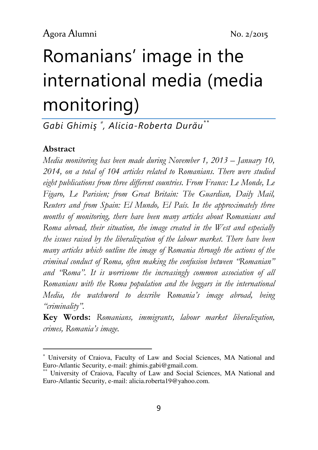# Romanians' image in the international media (media monitoring)

Gabi Ghimiş <sup>∗</sup> , Alicia-Roberta Durău\*\*

### Abstract

l

Media monitoring has been made during November 1, 2013 – January 10, 2014, on a total of 104 articles related to Romanians. There were studied eight publications from three different countries. From France: Le Monde, Le Figaro, Le Parisien; from Great Britain: The Guardian, Daily Mail, Reuters and from Spain: El Mundo, El País. In the approximately three months of monitoring, there have been many articles about Romanians and Roma abroad, their situation, the image created in the West and especially the issues raised by the liberalization of the labour market. There have been many articles which outline the image of Romania through the actions of the criminal conduct of Roma, often making the confusion between "Romanian" and "Roma". It is worrisome the increasingly common association of all Romanians with the Roma population and the beggars in the international Media, the watchword to describe Romania's image abroad, being "criminality".

Key Words: Romanians, immigrants, labour market liberalization, crimes, Romania's image.

<sup>∗</sup> University of Craiova, Faculty of Law and Social Sciences, MA National and Euro-Atlantic Security, e-mail: ghimis.gabi@gmail.com.

University of Craiova, Faculty of Law and Social Sciences, MA National and Euro-Atlantic Security, e-mail: alicia.roberta19@yahoo.com.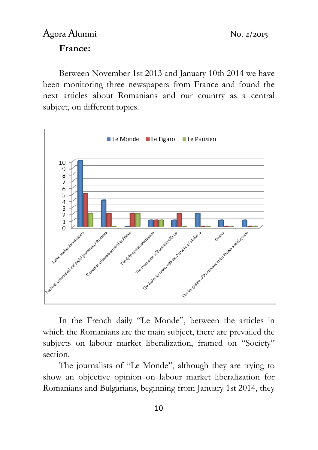# Agora Alumni No. 2/2015 France:

Between November 1st 2013 and January 10th 2014 we have been monitoring three newspapers from France and found the next articles about Romanians and our country as a central subject, on different topics.



In the French daily "Le Monde", between the articles in which the Romanians are the main subject, there are prevailed the subjects on labour market liberalization, framed on "Society" section.

The journalists of "Le Monde", although they are trying to show an objective opinion on labour market liberalization for Romanians and Bulgarians, beginning from January 1st 2014, they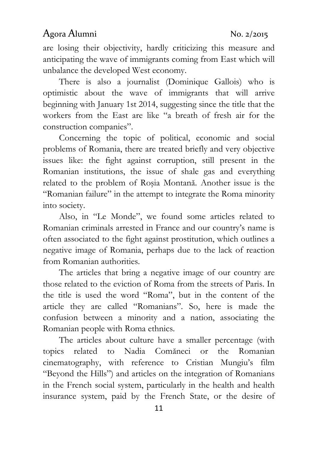are losing their objectivity, hardly criticizing this measure and anticipating the wave of immigrants coming from East which will unbalance the developed West economy.

There is also a journalist (Dominique Gallois) who is optimistic about the wave of immigrants that will arrive beginning with January 1st 2014, suggesting since the title that the workers from the East are like "a breath of fresh air for the construction companies".

Concerning the topic of political, economic and social problems of Romania, there are treated briefly and very objective issues like: the fight against corruption, still present in the Romanian institutions, the issue of shale gas and everything related to the problem of Roşia Montană. Another issue is the "Romanian failure" in the attempt to integrate the Roma minority into society.

Also, in "Le Monde", we found some articles related to Romanian criminals arrested in France and our country's name is often associated to the fight against prostitution, which outlines a negative image of Romania, perhaps due to the lack of reaction from Romanian authorities.

The articles that bring a negative image of our country are those related to the eviction of Roma from the streets of Paris. In the title is used the word "Roma", but in the content of the article they are called "Romanians". So, here is made the confusion between a minority and a nation, associating the Romanian people with Roma ethnics.

The articles about culture have a smaller percentage (with topics related to Nadia Comăneci or the Romanian cinematography, with reference to Cristian Mungiu's film "Beyond the Hills") and articles on the integration of Romanians in the French social system, particularly in the health and health insurance system, paid by the French State, or the desire of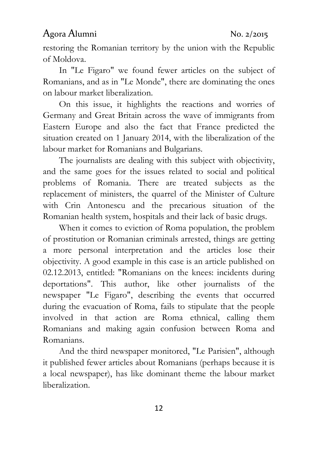restoring the Romanian territory by the union with the Republic of Moldova.

In "Le Figaro" we found fewer articles on the subject of Romanians, and as in "Le Monde", there are dominating the ones on labour market liberalization.

On this issue, it highlights the reactions and worries of Germany and Great Britain across the wave of immigrants from Eastern Europe and also the fact that France predicted the situation created on 1 January 2014, with the liberalization of the labour market for Romanians and Bulgarians.

The journalists are dealing with this subject with objectivity, and the same goes for the issues related to social and political problems of Romania. There are treated subjects as the replacement of ministers, the quarrel of the Minister of Culture with Crin Antonescu and the precarious situation of the Romanian health system, hospitals and their lack of basic drugs.

When it comes to eviction of Roma population, the problem of prostitution or Romanian criminals arrested, things are getting a more personal interpretation and the articles lose their objectivity. A good example in this case is an article published on 02.12.2013, entitled: "Romanians on the knees: incidents during deportations". This author, like other journalists of the newspaper "Le Figaro", describing the events that occurred during the evacuation of Roma, fails to stipulate that the people involved in that action are Roma ethnical, calling them Romanians and making again confusion between Roma and Romanians.

And the third newspaper monitored, "Le Parisien", although it published fewer articles about Romanians (perhaps because it is a local newspaper), has like dominant theme the labour market liberalization.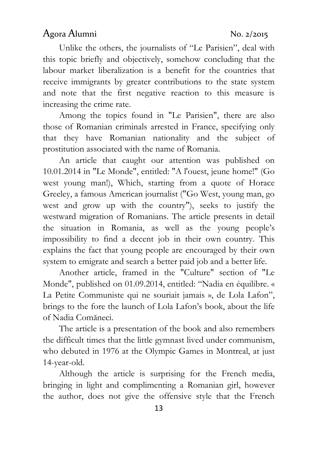Unlike the others, the journalists of "Le Parisien", deal with this topic briefly and objectively, somehow concluding that the labour market liberalization is a benefit for the countries that receive immigrants by greater contributions to the state system and note that the first negative reaction to this measure is increasing the crime rate.

Among the topics found in "Le Parisien", there are also those of Romanian criminals arrested in France, specifying only that they have Romanian nationality and the subject of prostitution associated with the name of Romania.

An article that caught our attention was published on 10.01.2014 in "Le Monde", entitled: "A l'ouest, jeune home!" (Go west young man!), Which, starting from a quote of Horace Greeley, a famous American journalist ("Go West, young man, go west and grow up with the country"), seeks to justify the westward migration of Romanians. The article presents in detail the situation in Romania, as well as the young people's impossibility to find a decent job in their own country. This explains the fact that young people are encouraged by their own system to emigrate and search a better paid job and a better life.

Another article, framed in the "Culture" section of "Le Monde", published on 01.09.2014, entitled: "Nadia en équilibre. « La Petite Communiste qui ne souriait jamais », de Lola Lafon", brings to the fore the launch of Lola Lafon's book, about the life of Nadia Comăneci.

The article is a presentation of the book and also remembers the difficult times that the little gymnast lived under communism, who debuted in 1976 at the Olympic Games in Montreal, at just 14-year-old.

Although the article is surprising for the French media, bringing in light and complimenting a Romanian girl, however the author, does not give the offensive style that the French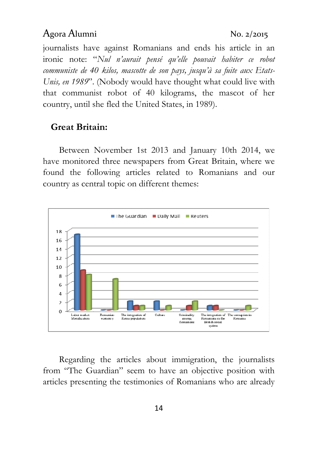journalists have against Romanians and ends his article in an ironic note: "Nul n'aurait pensé qu'elle pouvait habiter ce robot communiste de 40 kilos, mascotte de son pays, jusqu'à sa fuite aux Etats-Unis, en 1989". (Nobody would have thought what could live with that communist robot of 40 kilograms, the mascot of her country, until she fled the United States, in 1989).

### Great Britain:

Between November 1st 2013 and January 10th 2014, we have monitored three newspapers from Great Britain, where we found the following articles related to Romanians and our country as central topic on different themes:



Regarding the articles about immigration, the journalists from "The Guardian" seem to have an objective position with articles presenting the testimonies of Romanians who are already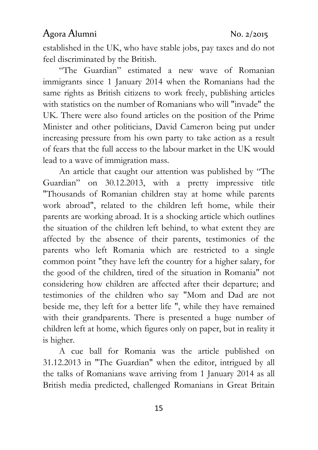established in the UK, who have stable jobs, pay taxes and do not feel discriminated by the British.

"The Guardian" estimated a new wave of Romanian immigrants since 1 January 2014 when the Romanians had the same rights as British citizens to work freely, publishing articles with statistics on the number of Romanians who will "invade" the UK. There were also found articles on the position of the Prime Minister and other politicians, David Cameron being put under increasing pressure from his own party to take action as a result of fears that the full access to the labour market in the UK would lead to a wave of immigration mass.

An article that caught our attention was published by "The Guardian" on 30.12.2013, with a pretty impressive title "Thousands of Romanian children stay at home while parents work abroad", related to the children left home, while their parents are working abroad. It is a shocking article which outlines the situation of the children left behind, to what extent they are affected by the absence of their parents, testimonies of the parents who left Romania which are restricted to a single common point "they have left the country for a higher salary, for the good of the children, tired of the situation in Romania" not considering how children are affected after their departure; and testimonies of the children who say "Mom and Dad are not beside me, they left for a better life ", while they have remained with their grandparents. There is presented a huge number of children left at home, which figures only on paper, but in reality it is higher.

A cue ball for Romania was the article published on 31.12.2013 in "The Guardian" when the editor, intrigued by all the talks of Romanians wave arriving from 1 January 2014 as all British media predicted, challenged Romanians in Great Britain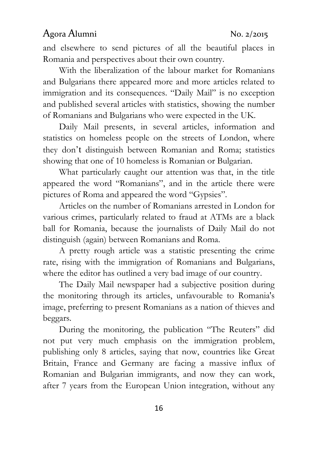and elsewhere to send pictures of all the beautiful places in Romania and perspectives about their own country.

With the liberalization of the labour market for Romanians and Bulgarians there appeared more and more articles related to immigration and its consequences. "Daily Mail" is no exception and published several articles with statistics, showing the number of Romanians and Bulgarians who were expected in the UK.

Daily Mail presents, in several articles, information and statistics on homeless people on the streets of London, where they don't distinguish between Romanian and Roma; statistics showing that one of 10 homeless is Romanian or Bulgarian.

What particularly caught our attention was that, in the title appeared the word "Romanians", and in the article there were pictures of Roma and appeared the word "Gypsies".

Articles on the number of Romanians arrested in London for various crimes, particularly related to fraud at ATMs are a black ball for Romania, because the journalists of Daily Mail do not distinguish (again) between Romanians and Roma.

A pretty rough article was a statistic presenting the crime rate, rising with the immigration of Romanians and Bulgarians, where the editor has outlined a very bad image of our country.

The Daily Mail newspaper had a subjective position during the monitoring through its articles, unfavourable to Romania's image, preferring to present Romanians as a nation of thieves and beggars.

During the monitoring, the publication "The Reuters" did not put very much emphasis on the immigration problem, publishing only 8 articles, saying that now, countries like Great Britain, France and Germany are facing a massive influx of Romanian and Bulgarian immigrants, and now they can work, after 7 years from the European Union integration, without any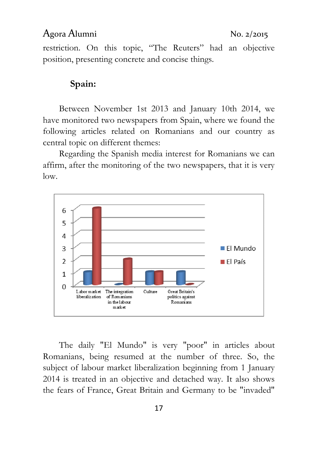restriction. On this topic, "The Reuters" had an objective position, presenting concrete and concise things.

### Spain:

Between November 1st 2013 and January 10th 2014, we have monitored two newspapers from Spain, where we found the following articles related on Romanians and our country as central topic on different themes:

Regarding the Spanish media interest for Romanians we can affirm, after the monitoring of the two newspapers, that it is very low.



The daily "El Mundo" is very "poor" in articles about Romanians, being resumed at the number of three. So, the subject of labour market liberalization beginning from 1 January 2014 is treated in an objective and detached way. It also shows the fears of France, Great Britain and Germany to be "invaded"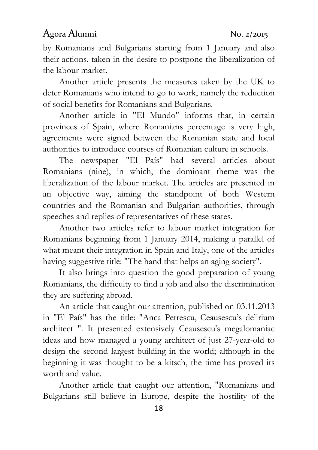by Romanians and Bulgarians starting from 1 January and also their actions, taken in the desire to postpone the liberalization of the labour market.

Another article presents the measures taken by the UK to deter Romanians who intend to go to work, namely the reduction of social benefits for Romanians and Bulgarians.

Another article in "El Mundo" informs that, in certain provinces of Spain, where Romanians percentage is very high, agreements were signed between the Romanian state and local authorities to introduce courses of Romanian culture in schools.

The newspaper "El País" had several articles about Romanians (nine), in which, the dominant theme was the liberalization of the labour market. The articles are presented in an objective way, aiming the standpoint of both Western countries and the Romanian and Bulgarian authorities, through speeches and replies of representatives of these states.

Another two articles refer to labour market integration for Romanians beginning from 1 January 2014, making a parallel of what meant their integration in Spain and Italy, one of the articles having suggestive title: "The hand that helps an aging society".

It also brings into question the good preparation of young Romanians, the difficulty to find a job and also the discrimination they are suffering abroad.

An article that caught our attention, published on 03.11.2013 in "El País" has the title: "Anca Petrescu, Ceausescu's delirium architect ". It presented extensively Ceausescu's megalomaniac ideas and how managed a young architect of just 27-year-old to design the second largest building in the world; although in the beginning it was thought to be a kitsch, the time has proved its worth and value.

Another article that caught our attention, "Romanians and Bulgarians still believe in Europe, despite the hostility of the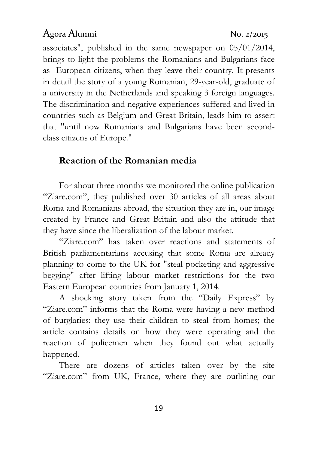associates", published in the same newspaper on 05/01/2014, brings to light the problems the Romanians and Bulgarians face as European citizens, when they leave their country. It presents in detail the story of a young Romanian, 29-year-old, graduate of a university in the Netherlands and speaking 3 foreign languages. The discrimination and negative experiences suffered and lived in countries such as Belgium and Great Britain, leads him to assert that "until now Romanians and Bulgarians have been secondclass citizens of Europe."

### Reaction of the Romanian media

For about three months we monitored the online publication "Ziare.com", they published over 30 articles of all areas about Roma and Romanians abroad, the situation they are in, our image created by France and Great Britain and also the attitude that they have since the liberalization of the labour market.

"Ziare.com" has taken over reactions and statements of British parliamentarians accusing that some Roma are already planning to come to the UK for "steal pocketing and aggressive begging" after lifting labour market restrictions for the two Eastern European countries from January 1, 2014.

A shocking story taken from the "Daily Express" by "Ziare.com" informs that the Roma were having a new method of burglaries: they use their children to steal from homes; the article contains details on how they were operating and the reaction of policemen when they found out what actually happened.

There are dozens of articles taken over by the site "Ziare.com" from UK, France, where they are outlining our